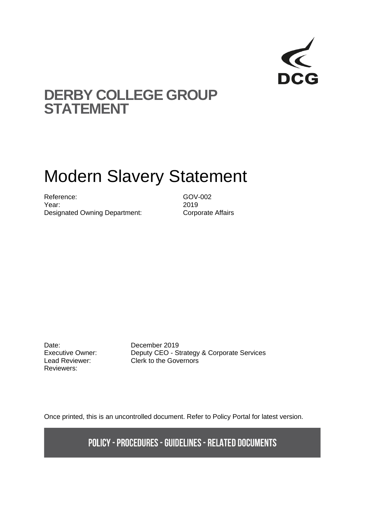

# **DERBY COLLEGE GROUP STATEMENT**

# Modern Slavery Statement

Reference: GOV-002 Year: 2019 Designated Owning Department: Corporate Affairs

Date: December 2019 Reviewers:

Executive Owner: Deputy CEO - Strategy & Corporate Services Lead Reviewer: Clerk to the Governors

Once printed, this is an uncontrolled document. Refer to Policy Portal for latest version.

**POLICY - PROCEDURES - GUIDELINES - RELATED DOCUMENTS**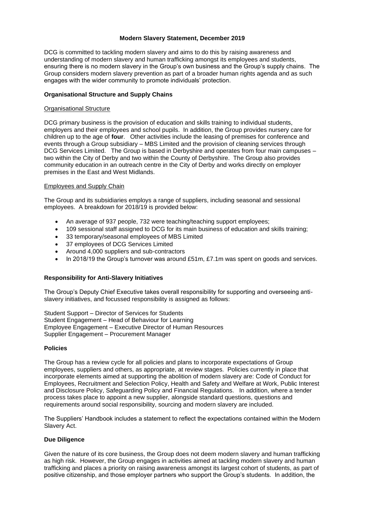# **Modern Slavery Statement, December 2019**

DCG is committed to tackling modern slavery and aims to do this by raising awareness and understanding of modern slavery and human trafficking amongst its employees and students, ensuring there is no modern slavery in the Group's own business and the Group's supply chains. The Group considers modern slavery prevention as part of a broader human rights agenda and as such engages with the wider community to promote individuals' protection.

### **Organisational Structure and Supply Chains**

### Organisational Structure

DCG primary business is the provision of education and skills training to individual students, employers and their employees and school pupils. In addition, the Group provides nursery care for children up to the age of **four**. Other activities include the leasing of premises for conference and events through a Group subsidiary – MBS Limited and the provision of cleaning services through DCG Services Limited. The Group is based in Derbyshire and operates from four main campuses – two within the City of Derby and two within the County of Derbyshire. The Group also provides community education in an outreach centre in the City of Derby and works directly on employer premises in the East and West Midlands.

# Employees and Supply Chain

The Group and its subsidiaries employs a range of suppliers, including seasonal and sessional employees. A breakdown for 2018/19 is provided below:

- An average of 937 people, 732 were teaching/teaching support employees;
- 109 sessional staff assigned to DCG for its main business of education and skills training;
- 33 temporary/seasonal employees of MBS Limited
- 37 employees of DCG Services Limited
- Around 4,000 suppliers and sub-contractors
- In 2018/19 the Group's turnover was around £51m, £7.1m was spent on goods and services.

#### **Responsibility for Anti-Slavery Initiatives**

The Group's Deputy Chief Executive takes overall responsibility for supporting and overseeing antislavery initiatives, and focussed responsibility is assigned as follows:

Student Support – Director of Services for Students Student Engagement – Head of Behaviour for Learning Employee Engagement – Executive Director of Human Resources Supplier Engagement – Procurement Manager

#### **Policies**

The Group has a review cycle for all policies and plans to incorporate expectations of Group employees, suppliers and others, as appropriate, at review stages. Policies currently in place that incorporate elements aimed at supporting the abolition of modern slavery are: Code of Conduct for Employees, Recruitment and Selection Policy, Health and Safety and Welfare at Work, Public Interest and Disclosure Policy, Safeguarding Policy and Financial Regulations. In addition, where a tender process takes place to appoint a new supplier, alongside standard questions, questions and requirements around social responsibility, sourcing and modern slavery are included.

The Suppliers' Handbook includes a statement to reflect the expectations contained within the Modern Slavery Act.

### **Due Diligence**

Given the nature of its core business, the Group does not deem modern slavery and human trafficking as high risk. However, the Group engages in activities aimed at tackling modern slavery and human trafficking and places a priority on raising awareness amongst its largest cohort of students, as part of positive citizenship, and those employer partners who support the Group's students. In addition, the